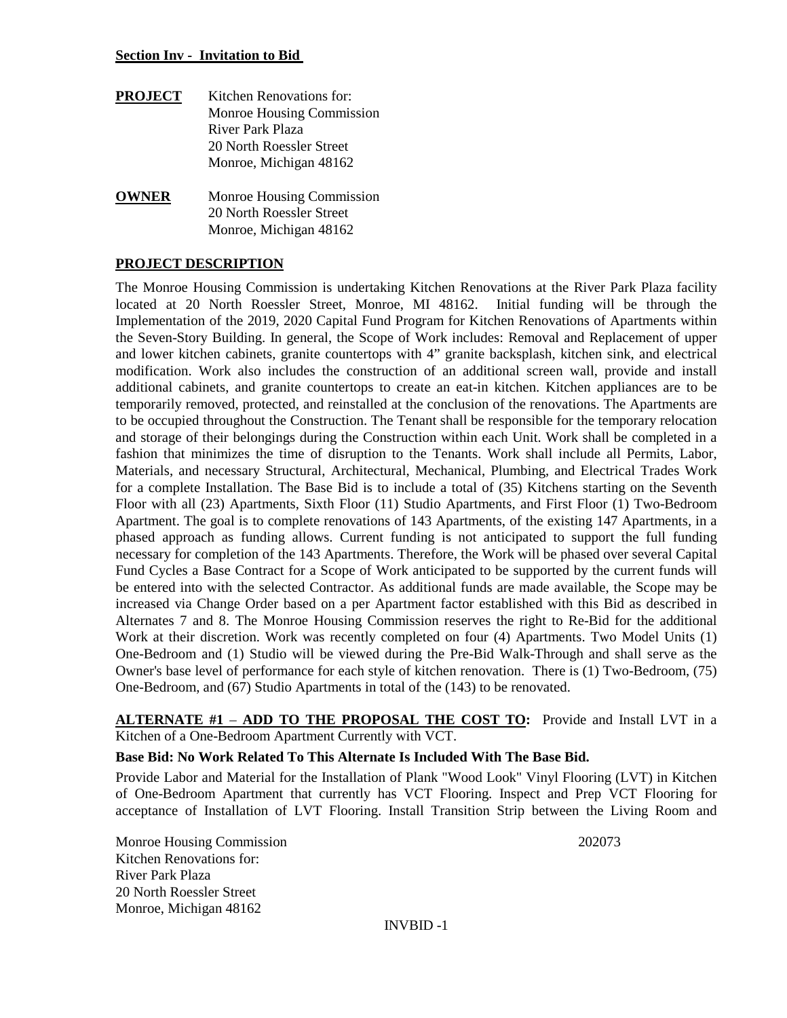#### **Section Inv - Invitation to Bid**

- **PROJECT** Kitchen Renovations for: Monroe Housing Commission River Park Plaza 20 North Roessler Street Monroe, Michigan 48162
- **OWNER** Monroe Housing Commission 20 North Roessler Street Monroe, Michigan 48162

## **PROJECT DESCRIPTION**

The Monroe Housing Commission is undertaking Kitchen Renovations at the River Park Plaza facility located at 20 North Roessler Street, Monroe, MI 48162. Initial funding will be through the Implementation of the 2019, 2020 Capital Fund Program for Kitchen Renovations of Apartments within the Seven-Story Building. In general, the Scope of Work includes: Removal and Replacement of upper and lower kitchen cabinets, granite countertops with 4" granite backsplash, kitchen sink, and electrical modification. Work also includes the construction of an additional screen wall, provide and install additional cabinets, and granite countertops to create an eat-in kitchen. Kitchen appliances are to be temporarily removed, protected, and reinstalled at the conclusion of the renovations. The Apartments are to be occupied throughout the Construction. The Tenant shall be responsible for the temporary relocation and storage of their belongings during the Construction within each Unit. Work shall be completed in a fashion that minimizes the time of disruption to the Tenants. Work shall include all Permits, Labor, Materials, and necessary Structural, Architectural, Mechanical, Plumbing, and Electrical Trades Work for a complete Installation. The Base Bid is to include a total of (35) Kitchens starting on the Seventh Floor with all (23) Apartments, Sixth Floor (11) Studio Apartments, and First Floor (1) Two-Bedroom Apartment. The goal is to complete renovations of 143 Apartments, of the existing 147 Apartments, in a phased approach as funding allows. Current funding is not anticipated to support the full funding necessary for completion of the 143 Apartments. Therefore, the Work will be phased over several Capital Fund Cycles a Base Contract for a Scope of Work anticipated to be supported by the current funds will be entered into with the selected Contractor. As additional funds are made available, the Scope may be increased via Change Order based on a per Apartment factor established with this Bid as described in Alternates 7 and 8. The Monroe Housing Commission reserves the right to Re-Bid for the additional Work at their discretion. Work was recently completed on four (4) Apartments. Two Model Units (1) One-Bedroom and (1) Studio will be viewed during the Pre-Bid Walk-Through and shall serve as the Owner's base level of performance for each style of kitchen renovation. There is (1) Two-Bedroom, (75) One-Bedroom, and (67) Studio Apartments in total of the (143) to be renovated.

**ALTERNATE #1** – **ADD TO THE PROPOSAL THE COST TO:** Provide and Install LVT in a Kitchen of a One-Bedroom Apartment Currently with VCT.

### **Base Bid: No Work Related To This Alternate Is Included With The Base Bid.**

Provide Labor and Material for the Installation of Plank "Wood Look" Vinyl Flooring (LVT) in Kitchen of One-Bedroom Apartment that currently has VCT Flooring. Inspect and Prep VCT Flooring for acceptance of Installation of LVT Flooring. Install Transition Strip between the Living Room and

Monroe Housing Commission 202073 Kitchen Renovations for: River Park Plaza 20 North Roessler Street Monroe, Michigan 48162

INVBID -1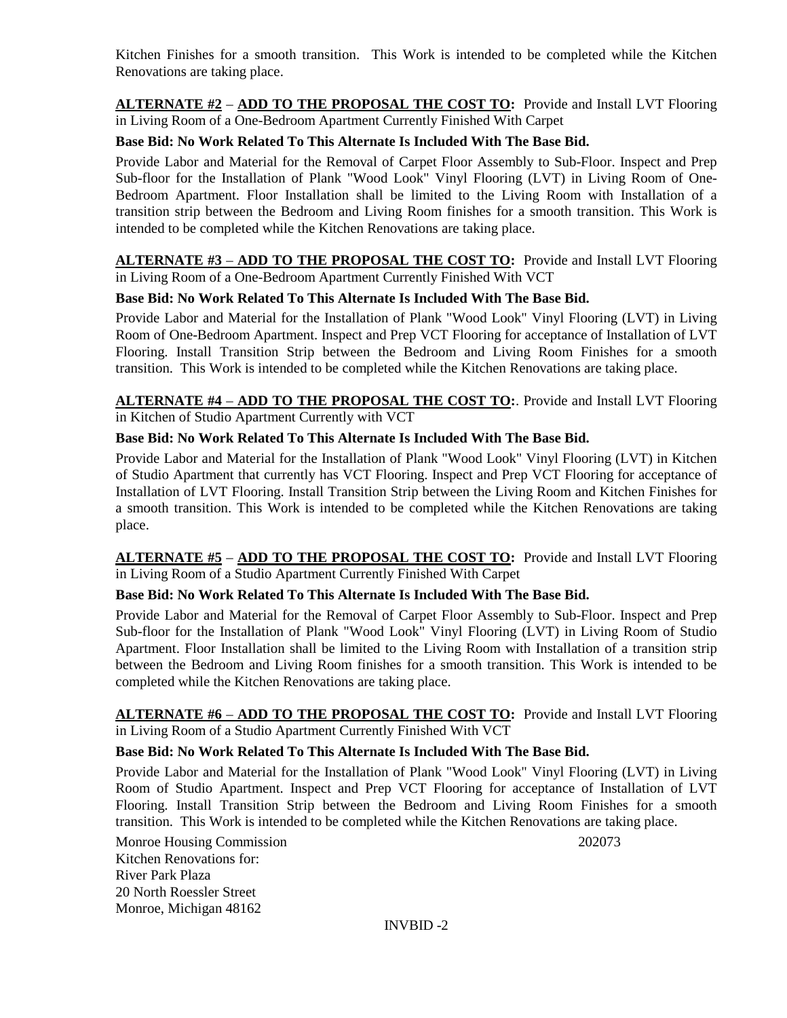Kitchen Finishes for a smooth transition. This Work is intended to be completed while the Kitchen Renovations are taking place.

**ALTERNATE #2** – **ADD TO THE PROPOSAL THE COST TO:** Provide and Install LVT Flooring in Living Room of a One-Bedroom Apartment Currently Finished With Carpet

## **Base Bid: No Work Related To This Alternate Is Included With The Base Bid.**

Provide Labor and Material for the Removal of Carpet Floor Assembly to Sub-Floor. Inspect and Prep Sub-floor for the Installation of Plank "Wood Look" Vinyl Flooring (LVT) in Living Room of One-Bedroom Apartment. Floor Installation shall be limited to the Living Room with Installation of a transition strip between the Bedroom and Living Room finishes for a smooth transition. This Work is intended to be completed while the Kitchen Renovations are taking place.

#### **ALTERNATE #3** – **ADD TO THE PROPOSAL THE COST TO:** Provide and Install LVT Flooring in Living Room of a One-Bedroom Apartment Currently Finished With VCT

## **Base Bid: No Work Related To This Alternate Is Included With The Base Bid.**

Provide Labor and Material for the Installation of Plank "Wood Look" Vinyl Flooring (LVT) in Living Room of One-Bedroom Apartment. Inspect and Prep VCT Flooring for acceptance of Installation of LVT Flooring. Install Transition Strip between the Bedroom and Living Room Finishes for a smooth transition. This Work is intended to be completed while the Kitchen Renovations are taking place.

### **ALTERNATE #4** – **ADD TO THE PROPOSAL THE COST TO:**. Provide and Install LVT Flooring in Kitchen of Studio Apartment Currently with VCT

## **Base Bid: No Work Related To This Alternate Is Included With The Base Bid.**

Provide Labor and Material for the Installation of Plank "Wood Look" Vinyl Flooring (LVT) in Kitchen of Studio Apartment that currently has VCT Flooring. Inspect and Prep VCT Flooring for acceptance of Installation of LVT Flooring. Install Transition Strip between the Living Room and Kitchen Finishes for a smooth transition. This Work is intended to be completed while the Kitchen Renovations are taking place.

**ALTERNATE #5** – **ADD TO THE PROPOSAL THE COST TO:** Provide and Install LVT Flooring in Living Room of a Studio Apartment Currently Finished With Carpet

### **Base Bid: No Work Related To This Alternate Is Included With The Base Bid.**

Provide Labor and Material for the Removal of Carpet Floor Assembly to Sub-Floor. Inspect and Prep Sub-floor for the Installation of Plank "Wood Look" Vinyl Flooring (LVT) in Living Room of Studio Apartment. Floor Installation shall be limited to the Living Room with Installation of a transition strip between the Bedroom and Living Room finishes for a smooth transition. This Work is intended to be completed while the Kitchen Renovations are taking place.

## **ALTERNATE #6** – **ADD TO THE PROPOSAL THE COST TO:** Provide and Install LVT Flooring in Living Room of a Studio Apartment Currently Finished With VCT

### **Base Bid: No Work Related To This Alternate Is Included With The Base Bid.**

Provide Labor and Material for the Installation of Plank "Wood Look" Vinyl Flooring (LVT) in Living Room of Studio Apartment. Inspect and Prep VCT Flooring for acceptance of Installation of LVT Flooring. Install Transition Strip between the Bedroom and Living Room Finishes for a smooth transition. This Work is intended to be completed while the Kitchen Renovations are taking place.

Monroe Housing Commission 202073 Kitchen Renovations for: River Park Plaza 20 North Roessler Street Monroe, Michigan 48162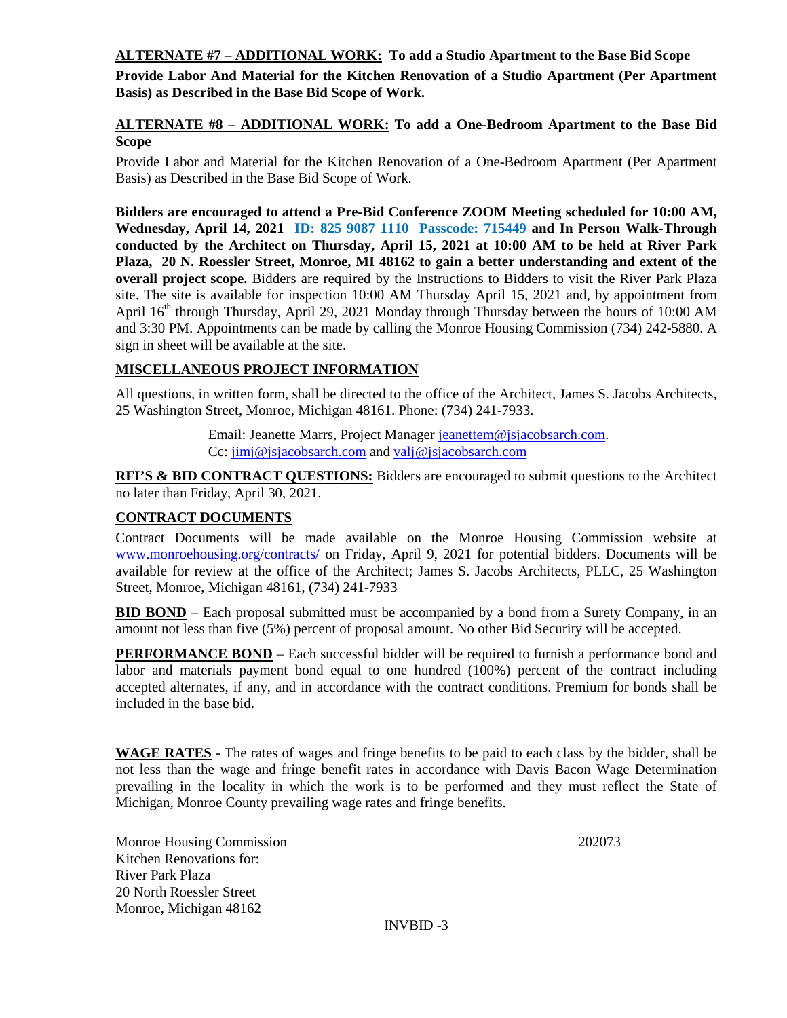**ALTERNATE #7** – **ADDITIONAL WORK: To add a Studio Apartment to the Base Bid Scope**

**Provide Labor And Material for the Kitchen Renovation of a Studio Apartment (Per Apartment Basis) as Described in the Base Bid Scope of Work.**

**ALTERNATE #8 – ADDITIONAL WORK: To add a One-Bedroom Apartment to the Base Bid Scope**

Provide Labor and Material for the Kitchen Renovation of a One-Bedroom Apartment (Per Apartment Basis) as Described in the Base Bid Scope of Work.

**Bidders are encouraged to attend a Pre-Bid Conference ZOOM Meeting scheduled for 10:00 AM, Wednesday, April 14, 2021 ID: 825 9087 1110 Passcode: 715449 and In Person Walk-Through conducted by the Architect on Thursday, April 15, 2021 at 10:00 AM to be held at River Park Plaza, 20 N. Roessler Street, Monroe, MI 48162 to gain a better understanding and extent of the overall project scope.** Bidders are required by the Instructions to Bidders to visit the River Park Plaza site. The site is available for inspection 10:00 AM Thursday April 15, 2021 and, by appointment from April 16<sup>th</sup> through Thursday, April 29, 2021 Monday through Thursday between the hours of 10:00 AM and 3:30 PM. Appointments can be made by calling the Monroe Housing Commission (734) 242-5880. A sign in sheet will be available at the site.

# **MISCELLANEOUS PROJECT INFORMATION**

All questions, in written form, shall be directed to the office of the Architect, James S. Jacobs Architects, 25 Washington Street, Monroe, Michigan 48161. Phone: (734) 241-7933.

> Email: Jeanette Marrs, Project Manager [jeanettem@jsjacobsarch.com.](mailto:jeanettem@jsjacobsarch.com) Cc: [jimj@jsjacobsarch.com](mailto:jimj@jsjacobsarch.com) and [valj@jsjacobsarch.com](mailto:valj@jsjacobsarch.com)

**RFI'S & BID CONTRACT QUESTIONS:** Bidders are encouraged to submit questions to the Architect no later than Friday, April 30, 2021.

# **CONTRACT DOCUMENTS**

Contract Documents will be made available on the Monroe Housing Commission website at [www.monroehousing.org/contracts/](http://www.monroehousing.org/contracts/) on Friday, April 9, 2021 for potential bidders. Documents will be available for review at the office of the Architect; James S. Jacobs Architects, PLLC, 25 Washington Street, Monroe, Michigan 48161, (734) 241-7933

**BID BOND** – Each proposal submitted must be accompanied by a bond from a Surety Company, in an amount not less than five (5%) percent of proposal amount. No other Bid Security will be accepted.

**PERFORMANCE BOND** – Each successful bidder will be required to furnish a performance bond and labor and materials payment bond equal to one hundred (100%) percent of the contract including accepted alternates, if any, and in accordance with the contract conditions. Premium for bonds shall be included in the base bid.

**WAGE RATES** - The rates of wages and fringe benefits to be paid to each class by the bidder, shall be not less than the wage and fringe benefit rates in accordance with Davis Bacon Wage Determination prevailing in the locality in which the work is to be performed and they must reflect the State of Michigan, Monroe County prevailing wage rates and fringe benefits.

Monroe Housing Commission 202073 Kitchen Renovations for: River Park Plaza 20 North Roessler Street Monroe, Michigan 48162

INVBID -3